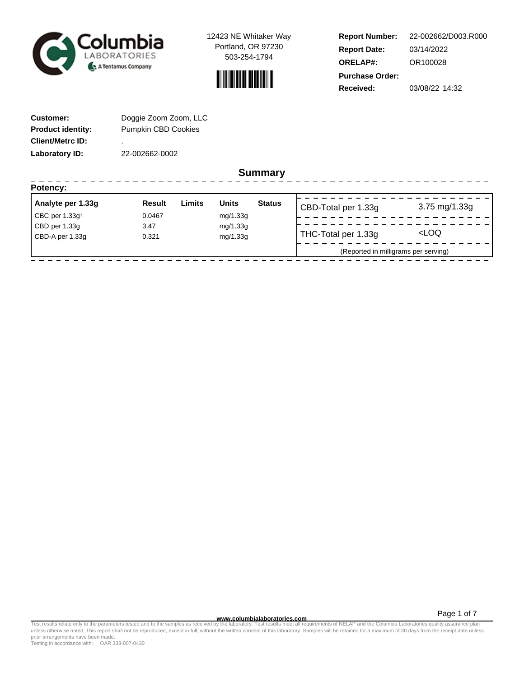



**Report Number: Report Date: ORELAP#:** 03/14/2022 OR100028 **Received:** 03/08/22 14:32 **Purchase Order:** 22-002662/D003.R000

-----------------

| <b>Customer:</b>         | Doggie Zoom Zoom, LLC      |
|--------------------------|----------------------------|
| <b>Product identity:</b> | <b>Pumpkin CBD Cookies</b> |
| <b>Client/Metrc ID:</b>  | ٠                          |
| Laboratory ID:           | 22-002662-0002             |

**Summary**

| Potency:          |               |        |              |               |                                      |                     |
|-------------------|---------------|--------|--------------|---------------|--------------------------------------|---------------------|
| Analyte per 1.33g | <b>Result</b> | Limits | <b>Units</b> | <b>Status</b> | CBD-Total per 1.33g                  | $3.75$ mg/1.33g     |
| CBC per $1.33g†$  | 0.0467        |        | mg/1.33g     |               |                                      |                     |
| CBD per 1.33g     | 3.47          |        | mg/1.33g     |               |                                      |                     |
| CBD-A per 1.33g   | 0.321         |        | mg/1.33g     |               | THC-Total per 1.33g                  | <loq< td=""></loq<> |
|                   |               |        |              |               | (Reported in milligrams per serving) |                     |
|                   |               |        |              |               |                                      |                     |

Page 1 of 7

www.columbialaboratories.com<br>Test results relate only to the parameters tested and to the samples as received by the laboratories metall requirements of NELAP and the Columbia Laboratories quality assurance plan<br>unless oth prior arrangements have been made.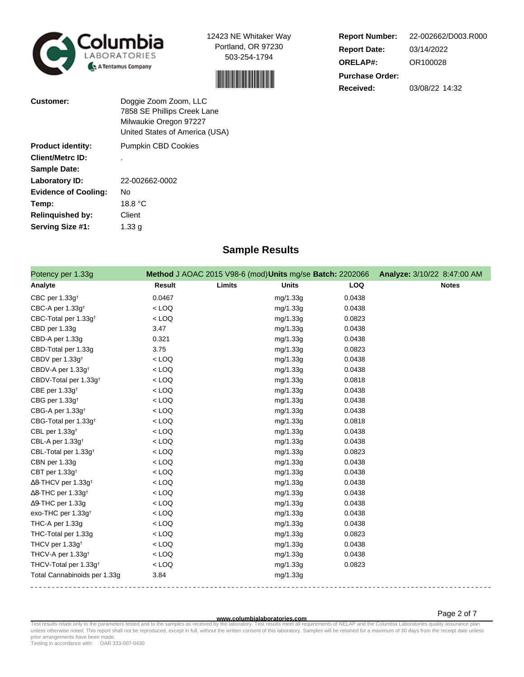



**Report Number: Report Date: ORELAP#:** 03/14/2022 OR100028 **Received:** 03/08/22 14:32 **Purchase Order:** 22-002662/D003.R000

| <b>Customer:</b>            | Doggie Zoom Zoom, LLC<br>7858 SE Phillips Creek Lane<br>Milwaukie Oregon 97227<br>United States of America (USA) |
|-----------------------------|------------------------------------------------------------------------------------------------------------------|
| <b>Product identity:</b>    | <b>Pumpkin CBD Cookies</b>                                                                                       |
| <b>Client/Metrc ID:</b>     |                                                                                                                  |
| <b>Sample Date:</b>         |                                                                                                                  |
| Laboratory ID:              | 22-002662-0002                                                                                                   |
| <b>Evidence of Cooling:</b> | Nο                                                                                                               |
| Temp:                       | 18.8 °C                                                                                                          |
| <b>Relinquished by:</b>     | Client                                                                                                           |
| Serving Size #1:            | 1.33 a                                                                                                           |

# **Sample Results**

| Potency per 1.33g                      |               |        | Method J AOAC 2015 V98-6 (mod) Units mg/se Batch: 2202066 |        | Analyze: 3/10/22 8:47:00 AM |
|----------------------------------------|---------------|--------|-----------------------------------------------------------|--------|-----------------------------|
| Analyte                                | <b>Result</b> | Limits | <b>Units</b>                                              | LOQ    | <b>Notes</b>                |
| CBC per 1.33g <sup>+</sup>             | 0.0467        |        | mg/1.33g                                                  | 0.0438 |                             |
| CBC-A per 1.33g <sup>t</sup>           | $<$ LOQ       |        | mg/1.33g                                                  | 0.0438 |                             |
| CBC-Total per 1.33g <sup>+</sup>       | $<$ LOQ       |        | mg/1.33g                                                  | 0.0823 |                             |
| CBD per 1.33g                          | 3.47          |        | mg/1.33g                                                  | 0.0438 |                             |
| CBD-A per 1.33g                        | 0.321         |        | mg/1.33g                                                  | 0.0438 |                             |
| CBD-Total per 1.33g                    | 3.75          |        | mg/1.33g                                                  | 0.0823 |                             |
| CBDV per 1.33g <sup>t</sup>            | $<$ LOQ       |        | mg/1.33g                                                  | 0.0438 |                             |
| CBDV-A per 1.33g <sup>+</sup>          | $<$ LOQ       |        | mg/1.33g                                                  | 0.0438 |                             |
| CBDV-Total per 1.33g <sup>+</sup>      | $<$ LOQ       |        | mg/1.33g                                                  | 0.0818 |                             |
| CBE per 1.33g <sup>t</sup>             | $<$ LOQ       |        | mg/1.33g                                                  | 0.0438 |                             |
| CBG per 1.33g <sup>+</sup>             | $<$ LOQ       |        | mg/1.33g                                                  | 0.0438 |                             |
| CBG-A per 1.33g <sup>+</sup>           | $<$ LOQ       |        | mg/1.33g                                                  | 0.0438 |                             |
| CBG-Total per 1.33g <sup>+</sup>       | $<$ LOQ       |        | mg/1.33g                                                  | 0.0818 |                             |
| CBL per 1.33g <sup>t</sup>             | $<$ LOQ       |        | mg/1.33g                                                  | 0.0438 |                             |
| CBL-A per 1.33g <sup>+</sup>           | $<$ LOQ       |        | mg/1.33g                                                  | 0.0438 |                             |
| CBL-Total per 1.33g <sup>+</sup>       | $<$ LOQ       |        | mg/1.33g                                                  | 0.0823 |                             |
| CBN per 1.33g                          | $<$ LOQ       |        | mg/1.33g                                                  | 0.0438 |                             |
| CBT per 1.33g <sup>t</sup>             | $<$ LOQ       |        | mg/1.33g                                                  | 0.0438 |                             |
| $\Delta$ 8-THCV per 1.33g <sup>+</sup> | $<$ LOQ       |        | mg/1.33g                                                  | 0.0438 |                             |
| $\Delta$ 8-THC per 1.33g <sup>+</sup>  | $<$ LOQ       |        | mg/1.33g                                                  | 0.0438 |                             |
| ∆9-THC per 1.33g                       | $<$ LOQ       |        | mg/1.33g                                                  | 0.0438 |                             |
| exo-THC per 1.33g <sup>+</sup>         | $<$ LOQ       |        | mg/1.33g                                                  | 0.0438 |                             |
| THC-A per 1.33g                        | $<$ LOQ       |        | mg/1.33g                                                  | 0.0438 |                             |
| THC-Total per 1.33g                    | $<$ LOQ       |        | mg/1.33g                                                  | 0.0823 |                             |
| THCV per 1.33g <sup>t</sup>            | $<$ LOQ       |        | mg/1.33g                                                  | 0.0438 |                             |
| THCV-A per 1.33g <sup>+</sup>          | $<$ LOQ       |        | mg/1.33g                                                  | 0.0438 |                             |
| THCV-Total per 1.33g <sup>+</sup>      | $<$ LOQ       |        | mg/1.33g                                                  | 0.0823 |                             |
| Total Cannabinoids per 1.33g           | 3.84          |        | mg/1.33g                                                  |        |                             |

Page 2 of 7

www.columbialaboratories.com<br>Test results relate only to the parameters tested and to the samples as received by the laboratories metall requirements of NELAP and the Columbia Laboratories quality assurance plan<br>unless oth prior arrangements have been made.

Testing in accordance with: OAR 333-007-0430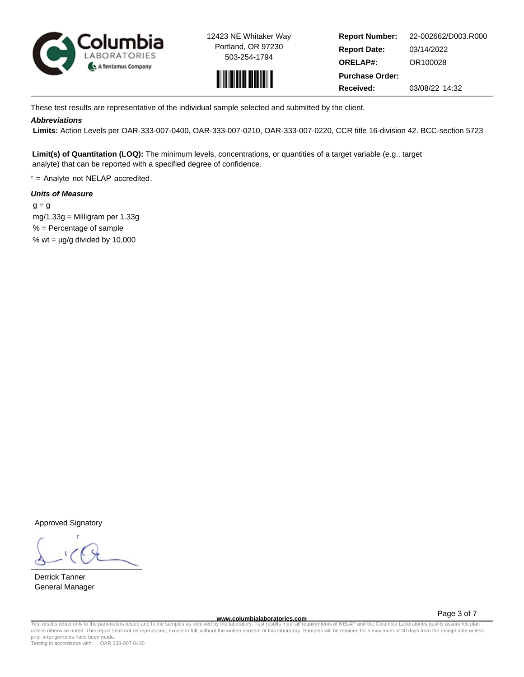



**Report Number: Report Date: ORELAP#:** 03/14/2022 OR100028 **Received:** 03/08/22 14:32 **Purchase Order:** 22-002662/D003.R000

These test results are representative of the individual sample selected and submitted by the client.

# **Abbreviations**

 **Limits:** Action Levels per OAR-333-007-0400, OAR-333-007-0210, OAR-333-007-0220, CCR title 16-division 42. BCC-section 5723

**Limit(s) of Quantitation (LOQ):** The minimum levels, concentrations, or quantities of a target variable (e.g., target analyte) that can be reported with a specified degree of confidence.

† = Analyte not NELAP accredited.

# **Units of Measure**

 $q = q$  mg/1.33g = Milligram per 1.33g % = Percentage of sample % wt =  $\mu$ g/g divided by 10,000

Approved Signatory

Derrick Tanner General Manager

**www.columbialaboratories.com**

Page 3 of 7

Test results relate only to the parameters tested and to the samples as received by the laboratory. Test results meet all requirements of NELAP and the Columbia Laboratories quality assurance plan<br>unless otherwise noted. T prior arrangements have been made.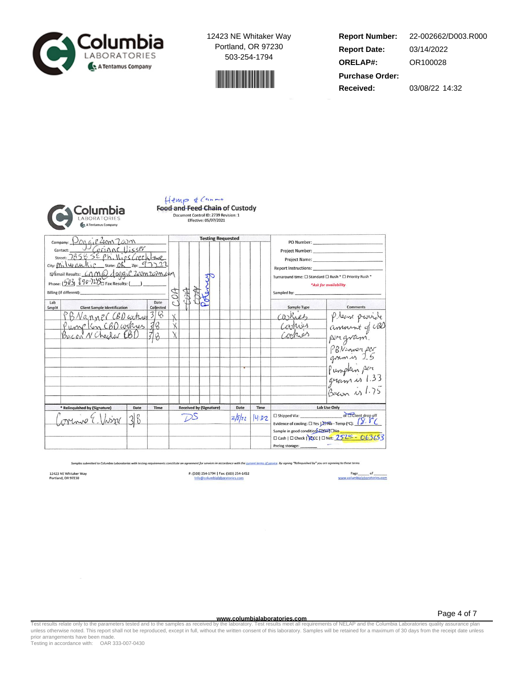



**Report Number: Report Date: ORELAP#:** 03/14/2022 OR100028 **Received:** 03/08/22 14:32 **Purchase Order:** 22-002662/D003.R000



# Hemp & Canne Food and Feed Chain of Custody Effective: 05/07/2021

|              | company: Pog gip 200m 200m                                                                                                                                                        |      |                                |  |  |  |                                 | <b>Testing Requested</b> |                                                                                                                                                               |  |                                                       |                                                                                                                                                                                                                                                                                                                                                                                                                                                                                                                                                                            |
|--------------|-----------------------------------------------------------------------------------------------------------------------------------------------------------------------------------|------|--------------------------------|--|--|--|---------------------------------|--------------------------|---------------------------------------------------------------------------------------------------------------------------------------------------------------|--|-------------------------------------------------------|----------------------------------------------------------------------------------------------------------------------------------------------------------------------------------------------------------------------------------------------------------------------------------------------------------------------------------------------------------------------------------------------------------------------------------------------------------------------------------------------------------------------------------------------------------------------------|
|              | Contact: UCOMACUISSE<br>city: Milwaukie state: OK zip: 97722<br>D'Email Results: Came doggie 200m 202m.com<br>Phone: $(503)$ $870-72B$ Fax Results: ()<br>Billing (if different): |      |                                |  |  |  |                                 |                          |                                                                                                                                                               |  | Sampled by:                                           | PO Number: and the contract of the contract of the contract of the contract of the contract of the contract of the contract of the contract of the contract of the contract of the contract of the contract of the contract of<br>Project Number: Name and Separate and Separate and Separate and Separate and Separate and Separate and Separate and Separate and Separate and Separate and Separate and Separate and Separate and Separate and Separate and Se<br>Project Name: Name:<br>Turnaround time: □ Standard □ Rush * □ Priority Rush *<br>*Ask for availability |
| Lab<br>Smpl# | <b>Client Sample Identification</b>                                                                                                                                               |      | Date<br>Collected              |  |  |  |                                 |                          |                                                                                                                                                               |  | Sample Type                                           | Comments                                                                                                                                                                                                                                                                                                                                                                                                                                                                                                                                                                   |
|              | BNanner CBD arked 3/8<br>Pump Kin CBD cookers 38<br>Bacon N Checker CBD 3/2                                                                                                       |      |                                |  |  |  |                                 |                          |                                                                                                                                                               |  | Carriet                                               | Please provide<br>amount of UB<br>pergram.<br>PBN-near per<br>gram is 1.33<br>gram is 1.33<br>gram is 1.75                                                                                                                                                                                                                                                                                                                                                                                                                                                                 |
|              | * Relinquished by (Signature)<br>Date                                                                                                                                             | Time | <b>Received by (Signature)</b> |  |  |  | Date<br>Time<br>2/8/22<br>14:32 |                          | Lab Use Only<br>□ Shipped Via: or □ Client drop off<br>Evidence of cooling: $\square$ Yes $\square$ Temp (°C): $\sqrt{\phantom{x}}$ . $\sqrt[x]{\phantom{x}}$ |  |                                                       |                                                                                                                                                                                                                                                                                                                                                                                                                                                                                                                                                                            |
|              |                                                                                                                                                                                   |      |                                |  |  |  |                                 |                          |                                                                                                                                                               |  | Sample in good condition Erres ONo<br>Prelog storage: | □ Cash   □ Check   20C   □ Net: 252의 - 063653                                                                                                                                                                                                                                                                                                                                                                                                                                                                                                                              |

tted to Columbia Laboratories with testing t for services in accordance with the <u>current terms of service</u>. By signing "Relinquished by" you are agreeing to these terms Samples sub

12423 NE Whitaker Way<br>Portland, OR 97230

P: (503) 254-1794 | Fax: (503) 254-1452<br>Info@columbialaboratories.com

Page 4 of 7

www.columbialaboratories.com<br>Test results relate only to the parameters tested and to the samples as received by the laboratories metall requirements of NELAP and the Columbia Laboratories quality assurance plan<br>unless oth prior arrangements have been made.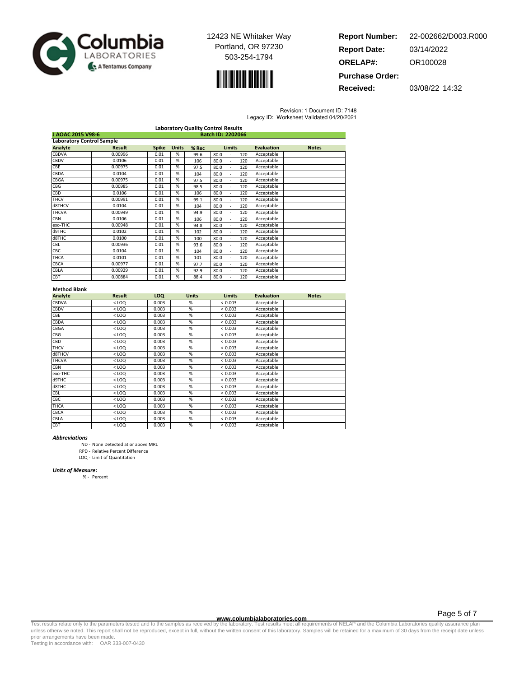



**Report Number: Report Date: ORELAP#:** 03/14/2022 OR100028 **Purchase Order:** 22-002662/D003.R000

**Received:** 03/08/22 14:32

Revision: 1 Document ID: 7148

| Legacy ID: Worksheet Validated 04/20/2021 |  |  |
|-------------------------------------------|--|--|
|                                           |  |  |

|                                  | <b>Laboratory Quality Control Results</b> |              |              |       |                   |                   |              |  |
|----------------------------------|-------------------------------------------|--------------|--------------|-------|-------------------|-------------------|--------------|--|
|                                  | J AOAC 2015 V98-6<br>Batch ID: 2202066    |              |              |       |                   |                   |              |  |
| <b>Laboratory Control Sample</b> |                                           |              |              |       |                   |                   |              |  |
| Analyte                          | <b>Result</b>                             | <b>Spike</b> | <b>Units</b> | % Rec | <b>Limits</b>     | <b>Evaluation</b> | <b>Notes</b> |  |
| CBDVA                            | 0.00996                                   | 0.01         | %            | 99.6  | 80.0<br>120       | Acceptable        |              |  |
| CBDV                             | 0.0106                                    | 0.01         | %            | 106   | 80.0<br>120       | Acceptable        |              |  |
| <b>CBE</b>                       | 0.00975                                   | 0.01         | %            | 97.5  | 80.0<br>120<br>÷. | Acceptable        |              |  |
| CBDA                             | 0.0104                                    | 0.01         | %            | 104   | 80.0<br>120<br>٠  | Acceptable        |              |  |
| CBGA                             | 0.00975                                   | 0.01         | %            | 97.5  | 80.0<br>120<br>٠  | Acceptable        |              |  |
| <b>CBG</b>                       | 0.00985                                   | 0.01         | %            | 98.5  | 80.0<br>120<br>ä, | Acceptable        |              |  |
| CBD                              | 0.0106                                    | 0.01         | %            | 106   | 80.0<br>120<br>٠  | Acceptable        |              |  |
| <b>THCV</b>                      | 0.00991                                   | 0.01         | %            | 99.1  | 80.0<br>120       | Acceptable        |              |  |
| d8THCV                           | 0.0104                                    | 0.01         | %            | 104   | 80.0<br>120       | Acceptable        |              |  |
| <b>THCVA</b>                     | 0.00949                                   | 0.01         | %            | 94.9  | 80.0<br>120       | Acceptable        |              |  |
| <b>CBN</b>                       | 0.0106                                    | 0.01         | %            | 106   | 80.0<br>120       | Acceptable        |              |  |
| exo-THC                          | 0.00948                                   | 0.01         | %            | 94.8  | 80.0<br>120       | Acceptable        |              |  |
| d9THC                            | 0.0102                                    | 0.01         | %            | 102   | 80.0<br>120       | Acceptable        |              |  |
| d8THC                            | 0.0100                                    | 0.01         | %            | 100   | 80.0<br>120<br>ä, | Acceptable        |              |  |
| CBL                              | 0.00936                                   | 0.01         | %            | 93.6  | 80.0<br>120<br>٠  | Acceptable        |              |  |
| CBC                              | 0.0104                                    | 0.01         | %            | 104   | 80.0<br>120<br>٠  | Acceptable        |              |  |
| <b>THCA</b>                      | 0.0101                                    | 0.01         | %            | 101   | 80.0<br>120       | Acceptable        |              |  |
| <b>CBCA</b>                      | 0.00977                                   | 0.01         | %            | 97.7  | 80.0<br>120<br>٠  | Acceptable        |              |  |
| CBLA                             | 0.00929                                   | 0.01         | %            | 92.9  | 80.0<br>120       | Acceptable        |              |  |
| CBT                              | 0.00884                                   | 0.01         | ℅            | 88.4  | 80.0<br>120       | Acceptable        |              |  |

## Method Blank

| Analyte      | <b>Result</b> | LOQ   | <b>Units</b>    | <b>Limits</b> | <b>Evaluation</b> | <b>Notes</b> |
|--------------|---------------|-------|-----------------|---------------|-------------------|--------------|
| CBDVA        | $<$ LOQ       | 0.003 | %               | < 0.003       | Acceptable        |              |
| CBDV         | $<$ LOQ       | 0.003 | %               | < 0.003       | Acceptable        |              |
| CBE          | $<$ LOQ       | 0.003 | %               | < 0.003       | Acceptable        |              |
| CBDA         | $<$ LOQ       | 0.003 | %               | < 0.003       | Acceptable        |              |
| CBGA         | $<$ LOQ       | 0.003 | %               | < 0.003       | Acceptable        |              |
| CBG          | $<$ LOQ       | 0.003 | %               | < 0.003       | Acceptable        |              |
| CBD          | $<$ LOQ       | 0.003 | %               | < 0.003       | Acceptable        |              |
| <b>THCV</b>  | $<$ LOQ       | 0.003 | %               | < 0.003       | Acceptable        |              |
| d8THCV       | $<$ LOQ       | 0.003 | %               | < 0.003       | Acceptable        |              |
| <b>THCVA</b> | $<$ LOQ       | 0.003 | %               | < 0.003       | Acceptable        |              |
| CBN          | $<$ LOQ       | 0.003 | %               | < 0.003       | Acceptable        |              |
| exo-THC      | $<$ LOQ       | 0.003 | %               | < 0.003       | Acceptable        |              |
| d9THC        | $<$ LOQ       | 0.003 | %               | < 0.003       | Acceptable        |              |
| d8THC        | $<$ LOQ       | 0.003 | $\overline{\%}$ | < 0.003       | Acceptable        |              |
| CBL          | $<$ LOQ       | 0.003 | %               | < 0.003       | Acceptable        |              |
| CBC          | $<$ LOQ       | 0.003 | %               | < 0.003       | Acceptable        |              |
| THCA         | $<$ LOQ       | 0.003 | %               | < 0.003       | Acceptable        |              |
| CBCA         | $<$ LOQ       | 0.003 | %               | < 0.003       | Acceptable        |              |
| CBLA         | $<$ LOQ       | 0.003 | %               | < 0.003       | Acceptable        |              |
| CBT          | $<$ LOQ       | 0.003 | %               | < 0.003       | Acceptable        |              |

#### Abbreviations

ND - None Detected at or above MRL

RPD - Relative Percent Difference

LOQ - Limit of Quantitation

### Units of Measure:

% - Percent

Page 5 of 7

www.columbialaboratories.com<br>Test results relate only to the parameters tested and to the samples as received by the laboratories metall requirements of NELAP and the Columbia Laboratories quality assurance plan<br>unless oth prior arrangements have been made.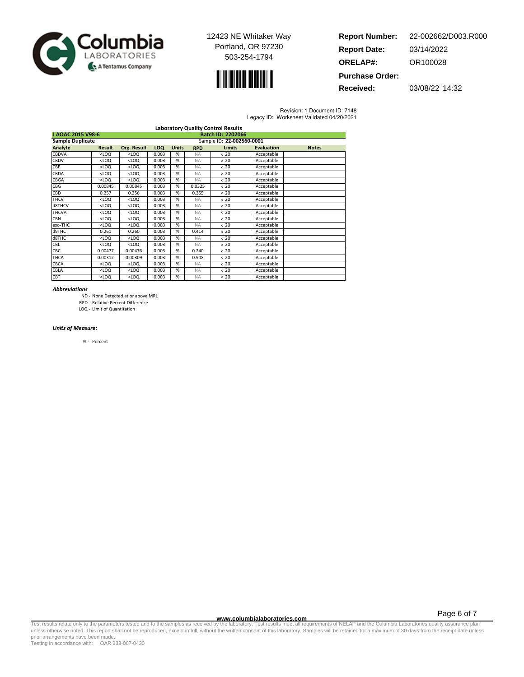



| <b>Report Number:</b>  | 22-002662/D003.R000 |
|------------------------|---------------------|
| <b>Report Date:</b>    | 03/14/2022          |
| <b>ORELAP#:</b>        | OR100028            |
| <b>Purchase Order:</b> |                     |

**Received:** 03/08/22 14:32

Revision: 1 Document ID: 7148 Legacy ID: Worksheet Validated 04/20/2021

|                         |                                                                                                                                        |             |            |              |            | <b>Laboratory Quality Control Results</b> |                   |              |
|-------------------------|----------------------------------------------------------------------------------------------------------------------------------------|-------------|------------|--------------|------------|-------------------------------------------|-------------------|--------------|
| J AOAC 2015 V98-6       |                                                                                                                                        |             |            |              |            | Batch ID: 2202066                         |                   |              |
| <b>Sample Duplicate</b> |                                                                                                                                        |             |            |              |            | Sample ID: 22-002560-0001                 |                   |              |
| Analyte                 | <b>Result</b>                                                                                                                          | Org. Result | <b>LOQ</b> | <b>Units</b> | <b>RPD</b> | <b>Limits</b>                             | <b>Evaluation</b> | <b>Notes</b> |
| CBDVA                   | $<$ LOQ                                                                                                                                | $<$ LOQ     | 0.003      | %            | <b>NA</b>  | < 20                                      | Acceptable        |              |
| CBDV                    | $<$ LOQ                                                                                                                                | $<$ LOQ     | 0.003      | %            | <b>NA</b>  | < 20                                      | Acceptable        |              |
| CBE                     | $<$ LOQ                                                                                                                                | $<$ LOQ     | 0.003      | %            | <b>NA</b>  | < 20                                      | Acceptable        |              |
| CBDA                    | $<$ LOQ                                                                                                                                | $<$ LOQ     | 0.003      | %            | <b>NA</b>  | < 20                                      | Acceptable        |              |
| CBGA                    | <loq< td=""><td><math>&lt;</math>LOQ</td><td>0.003</td><td>%</td><td><b>NA</b></td><td>&lt; 20</td><td>Acceptable</td><td></td></loq<> | $<$ LOQ     | 0.003      | %            | <b>NA</b>  | < 20                                      | Acceptable        |              |
| CBG                     | 0.00845                                                                                                                                | 0.00845     | 0.003      | %            | 0.0325     | < 20                                      | Acceptable        |              |
| CBD                     | 0.257                                                                                                                                  | 0.256       | 0.003      | %            | 0.355      | < 20                                      | Acceptable        |              |
| <b>THCV</b>             | $<$ LOQ                                                                                                                                | $<$ LOQ     | 0.003      | %            | <b>NA</b>  | < 20                                      | Acceptable        |              |
| d8THCV                  | <loq< td=""><td><math>&lt;</math>LOQ</td><td>0.003</td><td>%</td><td><b>NA</b></td><td>&lt; 20</td><td>Acceptable</td><td></td></loq<> | $<$ LOQ     | 0.003      | %            | <b>NA</b>  | < 20                                      | Acceptable        |              |
| <b>THCVA</b>            | $<$ LOQ                                                                                                                                | $<$ LOQ     | 0.003      | %            | <b>NA</b>  | < 20                                      | Acceptable        |              |
| <b>CBN</b>              | $<$ LOQ                                                                                                                                | $<$ LOQ     | 0.003      | %            | <b>NA</b>  | < 20                                      | Acceptable        |              |
| exo-THC                 | $<$ LOQ                                                                                                                                | $<$ LOQ     | 0.003      | %            | <b>NA</b>  | < 20                                      | Acceptable        |              |
| d9THC                   | 0.261                                                                                                                                  | 0.260       | 0.003      | %            | 0.414      | < 20                                      | Acceptable        |              |
| d8THC                   | <loq< td=""><td><math>&lt;</math>LOQ</td><td>0.003</td><td>%</td><td><b>NA</b></td><td>&lt; 20</td><td>Acceptable</td><td></td></loq<> | $<$ LOQ     | 0.003      | %            | <b>NA</b>  | < 20                                      | Acceptable        |              |
| CBL                     | $<$ LOQ                                                                                                                                | $<$ LOQ     | 0.003      | %            | <b>NA</b>  | < 20                                      | Acceptable        |              |
| <b>CBC</b>              | 0.00477                                                                                                                                | 0.00476     | 0.003      | %            | 0.240      | < 20                                      | Acceptable        |              |
| <b>THCA</b>             | 0.00312                                                                                                                                | 0.00309     | 0.003      | %            | 0.908      | < 20                                      | Acceptable        |              |
| <b>CBCA</b>             | $<$ LOQ                                                                                                                                | $<$ LOQ     | 0.003      | %            | <b>NA</b>  | < 20                                      | Acceptable        |              |
| CBLA                    | $<$ LOQ                                                                                                                                | $<$ LOQ     | 0.003      | %            | <b>NA</b>  | < 20                                      | Acceptable        |              |
| CBT                     | $<$ LOQ                                                                                                                                | $<$ LOQ     | 0.003      | %            | <b>NA</b>  | < 20                                      | Acceptable        |              |

#### Abbreviations

- ND None Detected at or above MRL
- RPD Relative Percent Difference
- LOQ Limit of Quantitation

#### Units of Measure:

% - Percent

**WWW.columbialaboratories.com**<br>unless otherwise noted. This report shall not be reproduced, except in full, without the written consent of this laboratory. Test results meet all requirements of NELAP and the Columbia Labor